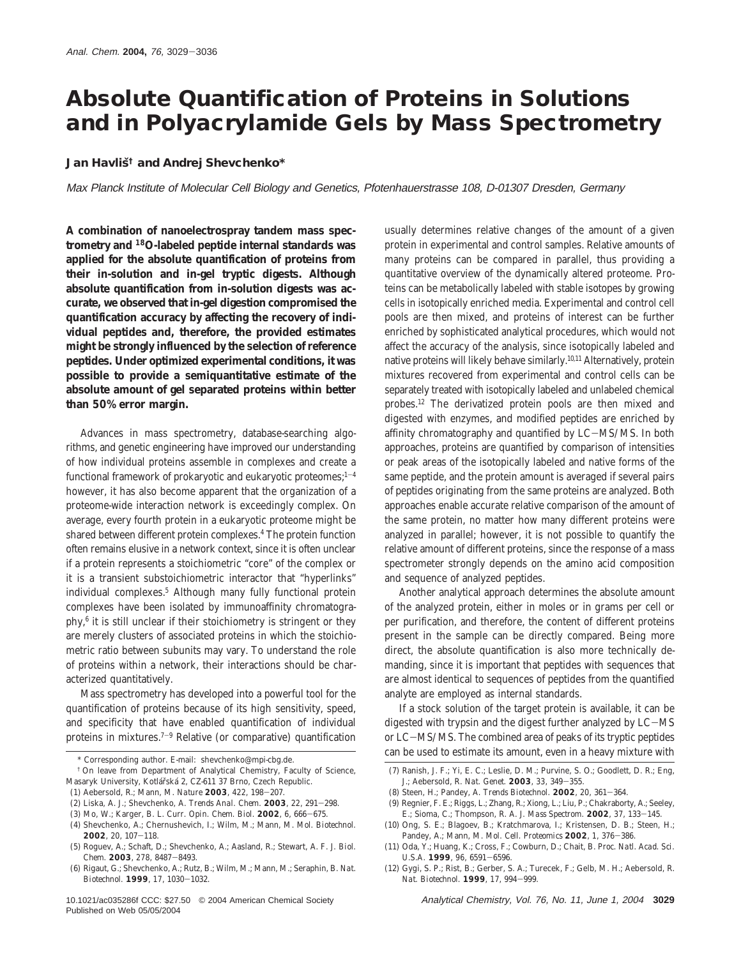# **Absolute Quantification of Proteins in Solutions and in Polyacrylamide Gels by Mass Spectrometry**

# **Jan Havlisˇ † and Andrej Shevchenko\***

Max Planck Institute of Molecular Cell Biology and Genetics, Pfotenhauerstrasse 108, D-01307 Dresden, Germany

**A combination of nanoelectrospray tandem mass spectrometry and 18O-labeled peptide internal standards was applied for the absolute quantification of proteins from their in-solution and in-gel tryptic digests. Although absolute quantification from in-solution digests was accurate, we observed that in-gel digestion compromised the quantification accuracy by affecting the recovery of individual peptides and, therefore, the provided estimates might be strongly influenced by the selection of reference peptides. Under optimized experimental conditions, it was possible to provide a semiquantitative estimate of the absolute amount of gel separated proteins within better than 50% error margin.**

Advances in mass spectrometry, database-searching algorithms, and genetic engineering have improved our understanding of how individual proteins assemble in complexes and create a functional framework of prokaryotic and eukaryotic proteomes;<sup>1-4</sup> however, it has also become apparent that the organization of a proteome-wide interaction network is exceedingly complex. On average, every fourth protein in a eukaryotic proteome might be shared between different protein complexes.4 The protein function often remains elusive in a network context, since it is often unclear if a protein represents a stoichiometric "core" of the complex or it is a transient substoichiometric interactor that "hyperlinks" individual complexes.5 Although many fully functional protein complexes have been isolated by immunoaffinity chromatogra $phy<sub>i</sub>$ <sup>6</sup> it is still unclear if their stoichiometry is stringent or they are merely clusters of associated proteins in which the stoichiometric ratio between subunits may vary. To understand the role of proteins within a network, their interactions should be characterized quantitatively.

Mass spectrometry has developed into a powerful tool for the quantification of proteins because of its high sensitivity, speed, and specificity that have enabled quantification of individual proteins in mixtures.<sup> $7-9$ </sup> Relative (or comparative) quantification

- (3) Mo, W.; Karger, B. L. *Curr. Opin. Chem. Biol.* **<sup>2002</sup>**, *<sup>6</sup>*, 666-675.
- (4) Shevchenko, A.; Chernushevich, I.; Wilm, M.; Mann, M. *Mol. Biotechnol.* **<sup>2002</sup>**, *<sup>20</sup>*, 107-118.
- (5) Roguev, A.; Schaft, D.; Shevchenko, A.; Aasland, R.; Stewart, A. F. *J. Biol. Chem.* **<sup>2003</sup>**, *<sup>278</sup>*, 8487-8493.
- (6) Rigaut, G.; Shevchenko, A.; Rutz, B.; Wilm, M.; Mann, M.; Seraphin, B. *Nat. Biotechnol.* **<sup>1999</sup>**, *<sup>17</sup>*, 1030-1032.

10.1021/ac035286f CCC: \$27.50 © 2004 American Chemical Society Analytical Chemistry, Vol. 76, No. 11, June 1, 2004 **3029** Published on Web 05/05/2004

usually determines relative changes of the amount of a given protein in experimental and control samples. Relative amounts of many proteins can be compared in parallel, thus providing a quantitative overview of the dynamically altered proteome. Proteins can be metabolically labeled with stable isotopes by growing cells in isotopically enriched media. Experimental and control cell pools are then mixed, and proteins of interest can be further enriched by sophisticated analytical procedures, which would not affect the accuracy of the analysis, since isotopically labeled and native proteins will likely behave similarly.10,11 Alternatively, protein mixtures recovered from experimental and control cells can be separately treated with isotopically labeled and unlabeled chemical probes.12 The derivatized protein pools are then mixed and digested with enzymes, and modified peptides are enriched by affinity chromatography and quantified by LC-MS/MS. In both approaches, proteins are quantified by comparison of intensities or peak areas of the isotopically labeled and native forms of the same peptide, and the protein amount is averaged if several pairs of peptides originating from the same proteins are analyzed. Both approaches enable accurate relative comparison of the amount of the same protein, no matter how many different proteins were analyzed in parallel; however, it is not possible to quantify the relative amount of different proteins, since the response of a mass spectrometer strongly depends on the amino acid composition and sequence of analyzed peptides.

Another analytical approach determines the absolute amount of the analyzed protein, either in moles or in grams per cell or per purification, and therefore, the content of different proteins present in the sample can be directly compared. Being more direct, the absolute quantification is also more technically demanding, since it is important that peptides with sequences that are almost identical to sequences of peptides from the quantified analyte are employed as internal standards.

If a stock solution of the target protein is available, it can be digested with trypsin and the digest further analyzed by LC-MS or LC-MS/MS. The combined area of peaks of its tryptic peptides can be used to estimate its amount, even in a heavy mixture with \* Corresponding author. E-mail: shevchenko@mpi-cbg.de.

- (8) Steen, H.; Pandey, A. *Trends Biotechnol.* **<sup>2002</sup>**, *<sup>20</sup>*, 361-364.
- (9) Regnier, F. E.; Riggs, L.; Zhang, R.; Xiong, L.; Liu, P.; Chakraborty, A.; Seeley, E.; Sioma, C.; Thompson, R. A. *J. Mass Spectrom.* **<sup>2002</sup>**, *<sup>37</sup>*, 133-145.
- (10) Ong, S. E.; Blagoev, B.; Kratchmarova, I.; Kristensen, D. B.; Steen, H.; Pandey, A.; Mann, M. *Mol. Cell. Proteomics* **<sup>2002</sup>**, *<sup>1</sup>*, 376-386.
- (11) Oda, Y.; Huang, K.; Cross, F.; Cowburn, D.; Chait, B. *Proc. Natl. Acad. Sci. U.S.A.* **<sup>1999</sup>**, *<sup>96</sup>*, 6591-6596.
- (12) Gygi, S. P.; Rist, B.; Gerber, S. A.; Turecek, F.; Gelb, M. H.; Aebersold, R. *Nat. Biotechnol.* **<sup>1999</sup>**, *<sup>17</sup>*, 994-999.

<sup>†</sup> On leave from Department of Analytical Chemistry, Faculty of Science, Masaryk University, Kotlářská 2, CZ-611 37 Brno, Czech Republic.

<sup>(1)</sup> Aebersold, R.; Mann, M. *Nature* **<sup>2003</sup>**, *<sup>422</sup>*, 198-207.

<sup>(2)</sup> Liska, A. J.; Shevchenko, A. *Trends Anal. Chem.* **<sup>2003</sup>**, *<sup>22</sup>*, 291-298.

<sup>(7)</sup> Ranish, J. F.; Yi, E. C.; Leslie, D. M.; Purvine, S. O.; Goodlett, D. R.; Eng, J.; Aebersold, R. *Nat. Genet.* **<sup>2003</sup>**, *<sup>33</sup>*, 349-355.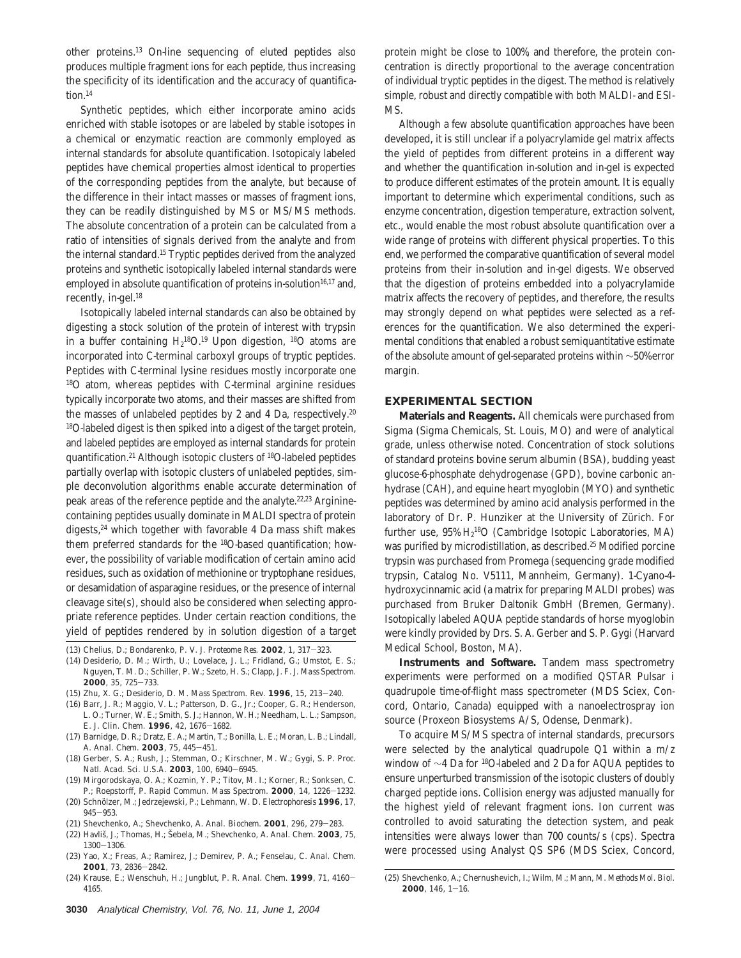other proteins.13 On-line sequencing of eluted peptides also produces multiple fragment ions for each peptide, thus increasing the specificity of its identification and the accuracy of quantification.<sup>14</sup>

Synthetic peptides, which either incorporate amino acids enriched with stable isotopes or are labeled by stable isotopes in a chemical or enzymatic reaction are commonly employed as internal standards for absolute quantification. Isotopicaly labeled peptides have chemical properties almost identical to properties of the corresponding peptides from the analyte, but because of the difference in their intact masses or masses of fragment ions, they can be readily distinguished by MS or MS/MS methods. The absolute concentration of a protein can be calculated from a ratio of intensities of signals derived from the analyte and from the internal standard.15 Tryptic peptides derived from the analyzed proteins and synthetic isotopically labeled internal standards were employed in absolute quantification of proteins in-solution $16,17$  and, recently, in-gel.18

Isotopically labeled internal standards can also be obtained by digesting a stock solution of the protein of interest with trypsin in a buffer containing  $H_2{}^{18}O.{}^{19}$  Upon digestion,  ${}^{18}O$  atoms are incorporated into C-terminal carboxyl groups of tryptic peptides. Peptides with C-terminal lysine residues mostly incorporate one 18O atom, whereas peptides with C-terminal arginine residues typically incorporate two atoms, and their masses are shifted from the masses of unlabeled peptides by 2 and 4 Da, respectively.20 18O-labeled digest is then spiked into a digest of the target protein, and labeled peptides are employed as internal standards for protein quantification.21 Although isotopic clusters of 18O-labeled peptides partially overlap with isotopic clusters of unlabeled peptides, simple deconvolution algorithms enable accurate determination of peak areas of the reference peptide and the analyte.22,23 Argininecontaining peptides usually dominate in MALDI spectra of protein digests, $24$  which together with favorable 4 Da mass shift makes them preferred standards for the 18O-based quantification; however, the possibility of variable modification of certain amino acid residues, such as oxidation of methionine or tryptophane residues, or desamidation of asparagine residues, or the presence of internal cleavage site(s), should also be considered when selecting appropriate reference peptides. Under certain reaction conditions, the yield of peptides rendered by in solution digestion of a target

(13) Chelius, D.; Bondarenko, P. V. *J. Proteome Res.* **<sup>2002</sup>**, *<sup>1</sup>*, 317-323.

- (14) Desiderio, D. M.; Wirth, U.; Lovelace, J. L.; Fridland, G.; Umstot, E. S.; Nguyen, T. M. D.; Schiller, P. W.; Szeto, H. S.; Clapp, J. F. *J. Mass Spectrom.* **<sup>2000</sup>**, *<sup>35</sup>*, 725-733.
- (15) Zhu, X. G.; Desiderio, D. M. *Mass Spectrom. Rev.* **<sup>1996</sup>**, *<sup>15</sup>*, 213-240.
- (16) Barr, J. R.; Maggio, V. L.; Patterson, D. G., Jr.; Cooper, G. R.; Henderson, L. O.; Turner, W. E.; Smith, S. J.; Hannon, W. H.; Needham, L. L.; Sampson, E. J. *Clin. Chem.* **<sup>1996</sup>**, *<sup>42</sup>*, 1676-1682.
- (17) Barnidge, D. R.; Dratz, E. A.; Martin, T.; Bonilla, L. E.; Moran, L. B.; Lindall, A. *Anal. Chem.* **<sup>2003</sup>**, *<sup>75</sup>*, 445-451.
- (18) Gerber, S. A.; Rush, J.; Stemman, O.; Kirschner, M. W.; Gygi, S. P. *Proc. Natl. Acad. Sci. U.S.A.* **<sup>2003</sup>**, *<sup>100</sup>*, 6940-6945.
- (19) Mirgorodskaya, O. A.; Kozmin, Y. P.; Titov, M. I.; Korner, R.; Sonksen, C. P.; Roepstorff, P. *Rapid Commun. Mass Spectrom.* **<sup>2000</sup>**, *<sup>14</sup>*, 1226-1232.
- (20) Schno¨lzer, M.; Jedrzejewski, P.; Lehmann, W. D. *Electrophoresis* **1996**, *17*, <sup>945</sup>-953.
- (21) Shevchenko, A.; Shevchenko, A. *Anal. Biochem.* **<sup>2001</sup>**, *<sup>296</sup>*, 279-283.
- (22) Havliš, J.; Thomas, H.; Šebela, M.; Shevchenko, A. *Anal. Chem.* **2003**, 75, 1300–1306. <sup>1300</sup>-1306. (23) Yao, X.; Freas, A.; Ramirez, J.; Demirev, P. A.; Fenselau, C. *Anal. Chem.*
- **<sup>2001</sup>**, *<sup>73</sup>*, 2836-2842.
- (24) Krause, E.; Wenschuh, H.; Jungblut, P. R. *Anal. Chem.* **<sup>1999</sup>**, *<sup>71</sup>*, 4160- 4165.

protein might be close to 100%, and therefore, the protein concentration is directly proportional to the average concentration of individual tryptic peptides in the digest. The method is relatively simple, robust and directly compatible with both MALDI- and ESI-MS.

Although a few absolute quantification approaches have been developed, it is still unclear if a polyacrylamide gel matrix affects the yield of peptides from different proteins in a different way and whether the quantification in-solution and in-gel is expected to produce different estimates of the protein amount. It is equally important to determine which experimental conditions, such as enzyme concentration, digestion temperature, extraction solvent, etc., would enable the most robust absolute quantification over a wide range of proteins with different physical properties. To this end, we performed the comparative quantification of several model proteins from their in-solution and in-gel digests. We observed that the digestion of proteins embedded into a polyacrylamide matrix affects the recovery of peptides, and therefore, the results may strongly depend on what peptides were selected as a references for the quantification. We also determined the experimental conditions that enabled a robust semiquantitative estimate of the absolute amount of gel-separated proteins within ∼50% error margin.

# **EXPERIMENTAL SECTION**

**Materials and Reagents.** All chemicals were purchased from Sigma (Sigma Chemicals, St. Louis, MO) and were of analytical grade, unless otherwise noted. Concentration of stock solutions of standard proteins bovine serum albumin (BSA), budding yeast glucose-6-phosphate dehydrogenase (GPD), bovine carbonic anhydrase (CAH), and equine heart myoglobin (MYO) and synthetic peptides was determined by amino acid analysis performed in the laboratory of Dr. P. Hunziker at the University of Zürich. For further use,  $95\%$   $\rm H_2^{18}O$  (Cambridge Isotopic Laboratories, MA) was purified by microdistillation, as described.25 Modified porcine trypsin was purchased from Promega (sequencing grade modified trypsin, Catalog No. V5111, Mannheim, Germany). 1-Cyano-4 hydroxycinnamic acid (a matrix for preparing MALDI probes) was purchased from Bruker Daltonik GmbH (Bremen, Germany). Isotopically labeled AQUA peptide standards of horse myoglobin were kindly provided by Drs. S. A. Gerber and S. P. Gygi (Harvard Medical School, Boston, MA).

**Instruments and Software.** Tandem mass spectrometry experiments were performed on a modified QSTAR Pulsar *i* quadrupole time-of-flight mass spectrometer (MDS Sciex, Concord, Ontario, Canada) equipped with a nanoelectrospray ion source (Proxeon Biosystems A/S, Odense, Denmark).

To acquire MS/MS spectra of internal standards, precursors were selected by the analytical quadrupole Q1 within a *m*/*z* window of ∼4 Da for 18O-labeled and 2 Da for AQUA peptides to ensure unperturbed transmission of the isotopic clusters of doubly charged peptide ions. Collision energy was adjusted manually for the highest yield of relevant fragment ions. Ion current was controlled to avoid saturating the detection system, and peak intensities were always lower than 700 counts/s (cps). Spectra were processed using Analyst QS SP6 (MDS Sciex, Concord,

<sup>(25)</sup> Shevchenko, A.; Chernushevich, I.; Wilm, M.; Mann, M. *Methods Mol. Biol.* **<sup>2000</sup>**, *<sup>146</sup>*, 1-16.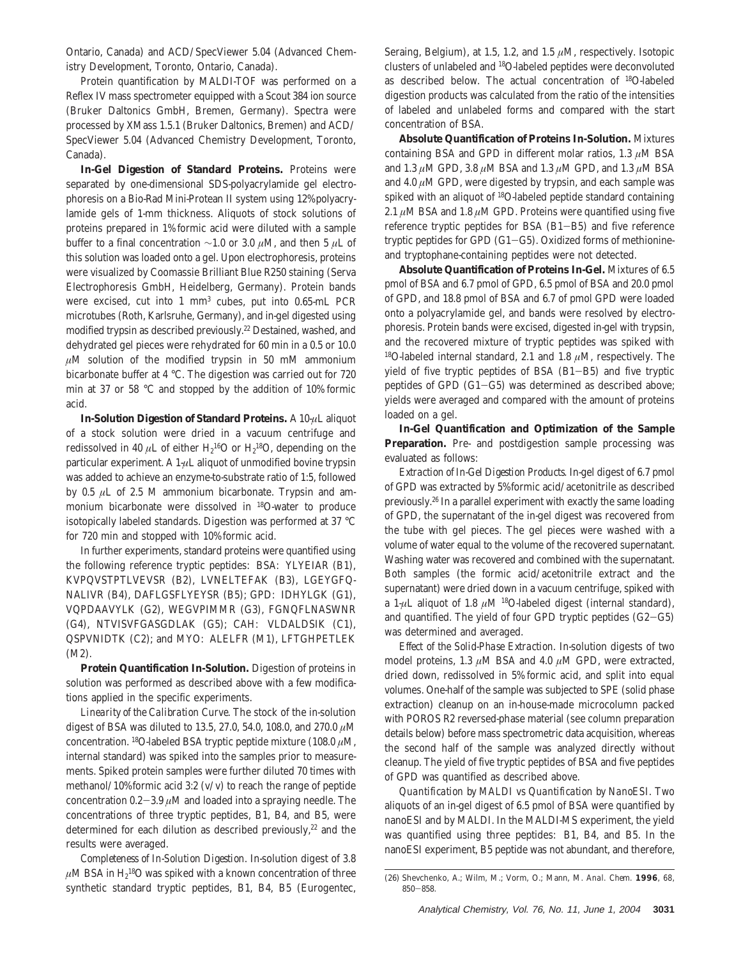Ontario, Canada) and ACD/SpecViewer 5.04 (Advanced Chemistry Development, Toronto, Ontario, Canada).

Protein quantification by MALDI-TOF was performed on a Reflex IV mass spectrometer equipped with a Scout 384 ion source (Bruker Daltonics GmbH, Bremen, Germany). Spectra were processed by XMass 1.5.1 (Bruker Daltonics, Bremen) and ACD/ SpecViewer 5.04 (Advanced Chemistry Development, Toronto, Canada).

**In-Gel Digestion of Standard Proteins.** Proteins were separated by one-dimensional SDS-polyacrylamide gel electrophoresis on a Bio-Rad Mini-Protean II system using 12% polyacrylamide gels of 1-mm thickness. Aliquots of stock solutions of proteins prepared in 1% formic acid were diluted with a sample buffer to a final concentration ∼1.0 or 3.0 *µ*M, and then 5 *µ*L of this solution was loaded onto a gel. Upon electrophoresis, proteins were visualized by Coomassie Brilliant Blue R250 staining (Serva Electrophoresis GmbH, Heidelberg, Germany). Protein bands were excised, cut into 1 mm3 cubes, put into 0.65-mL PCR microtubes (Roth, Karlsruhe, Germany), and in-gel digested using modified trypsin as described previously.22 Destained, washed, and dehydrated gel pieces were rehydrated for 60 min in a 0.5 or 10.0 *µ*M solution of the modified trypsin in 50 mM ammonium bicarbonate buffer at 4 °C. The digestion was carried out for 720 min at 37 or 58 °C and stopped by the addition of 10% formic acid.

**In-Solution Digestion of Standard Proteins.** A 10-*µ*L aliquot of a stock solution were dried in a vacuum centrifuge and redissolved in 40  $\mu$ L of either H<sub>2</sub><sup>16</sup>O or H<sub>2</sub><sup>18</sup>O, depending on the particular experiment. A 1-*µ*L aliquot of unmodified bovine trypsin was added to achieve an enzyme-to-substrate ratio of 1:5, followed by 0.5 *µ*L of 2.5 M ammonium bicarbonate. Trypsin and ammonium bicarbonate were dissolved in 18O-water to produce isotopically labeled standards. Digestion was performed at 37 °C for 720 min and stopped with 10% formic acid.

In further experiments, standard proteins were quantified using the following reference tryptic peptides: BSA: YLYEIAR (B1), KVPQVSTPTLVEVSR (B2), LVNELTEFAK (B3), LGEYGFQ-NALIVR (B4), DAFLGSFLYEYSR (B5); GPD: IDHYLGK (G1), VQPDAAVYLK (G2), WEGVPIMMR (G3), FGNQFLNASWNR (G4), NTVISVFGASGDLAK (G5); CAH: VLDALDSIK (C1), QSPVNIDTK (C2); and MYO: ALELFR (M1), LFTGHPETLEK (M2).

**Protein Quantification In-Solution.** Digestion of proteins in solution was performed as described above with a few modifications applied in the specific experiments.

*Linearity of the Calibration Curve*. The stock of the in-solution digest of BSA was diluted to 13.5, 27.0, 54.0, 108.0, and 270.0 *µ*M concentration. 18O-labeled BSA tryptic peptide mixture (108.0 *µ*M, internal standard) was spiked into the samples prior to measurements. Spiked protein samples were further diluted 70 times with methanol/10% formic acid 3:2 (v/v) to reach the range of peptide concentration  $0.2-3.9 \mu M$  and loaded into a spraying needle. The concentrations of three tryptic peptides, B1, B4, and B5, were determined for each dilution as described previously,<sup>22</sup> and the results were averaged.

*Completeness of In-Solution Digestion*. In-solution digest of 3.8  $\mu$ M BSA in  $\rm{H}_{2}$ <sup>18</sup>O was spiked with a known concentration of three synthetic standard tryptic peptides, B1, B4, B5 (Eurogentec,

Seraing, Belgium), at 1.5, 1.2, and 1.5 *µ*M, respectively. Isotopic clusters of unlabeled and 18O-labeled peptides were deconvoluted as described below. The actual concentration of 18O-labeled digestion products was calculated from the ratio of the intensities of labeled and unlabeled forms and compared with the start concentration of BSA.

**Absolute Quantification of Proteins In-Solution.** Mixtures containing BSA and GPD in different molar ratios, 1.3 *µ*M BSA and 1.3 *µ*M GPD, 3.8 *µ*M BSA and 1.3 *µ*M GPD, and 1.3 *µ*M BSA and 4.0  $\mu$ M GPD, were digested by trypsin, and each sample was spiked with an aliquot of 18O-labeled peptide standard containing 2.1 *µ*M BSA and 1.8 *µ*M GPD. Proteins were quantified using five reference tryptic peptides for BSA (B1-B5) and five reference tryptic peptides for GPD  $(G1-G5)$ . Oxidized forms of methionineand tryptophane-containing peptides were not detected.

**Absolute Quantification of Proteins In-Gel.** Mixtures of 6.5 pmol of BSA and 6.7 pmol of GPD, 6.5 pmol of BSA and 20.0 pmol of GPD, and 18.8 pmol of BSA and 6.7 of pmol GPD were loaded onto a polyacrylamide gel, and bands were resolved by electrophoresis. Protein bands were excised, digested in-gel with trypsin, and the recovered mixture of tryptic peptides was spiked with 18O-labeled internal standard, 2.1 and 1.8 *µ*M, respectively. The yield of five tryptic peptides of BSA (B1-B5) and five tryptic peptides of GPD (G1-G5) was determined as described above; yields were averaged and compared with the amount of proteins loaded on a gel.

**In-Gel Quantification and Optimization of the Sample Preparation.** Pre- and postdigestion sample processing was evaluated as follows:

*Extraction of In-Gel Digestion Products.* In-gel digest of 6.7 pmol of GPD was extracted by 5% formic acid/acetonitrile as described previously.26 In a parallel experiment with exactly the same loading of GPD, the supernatant of the in-gel digest was recovered from the tube with gel pieces. The gel pieces were washed with a volume of water equal to the volume of the recovered supernatant. Washing water was recovered and combined with the supernatant. Both samples (the formic acid/acetonitrile extract and the supernatant) were dried down in a vacuum centrifuge, spiked with a  $1-\mu$ L aliquot of 1.8  $\mu$ M <sup>18</sup>O-labeled digest (internal standard), and quantified. The yield of four GPD tryptic peptides  $(G2-G5)$ was determined and averaged.

*Effect of the Solid-Phase Extraction*. In-solution digests of two model proteins, 1.3 *µ*M BSA and 4.0 *µ*M GPD, were extracted, dried down, redissolved in 5% formic acid, and split into equal volumes. One-half of the sample was subjected to SPE (solid phase extraction) cleanup on an in-house-made microcolumn packed with POROS R2 reversed-phase material (see column preparation details below) before mass spectrometric data acquisition, whereas the second half of the sample was analyzed directly without cleanup. The yield of five tryptic peptides of BSA and five peptides of GPD was quantified as described above.

*Quantification by MALDI vs Quantification by NanoESI*. Two aliquots of an in-gel digest of 6.5 pmol of BSA were quantified by nanoESI and by MALDI. In the MALDI-MS experiment, the yield was quantified using three peptides: B1, B4, and B5. In the nanoESI experiment, B5 peptide was not abundant, and therefore,

<sup>(26)</sup> Shevchenko, A.; Wilm, M.; Vorm, O.; Mann, M. *Anal. Chem.* **1996**, *68*, <sup>850</sup>-858.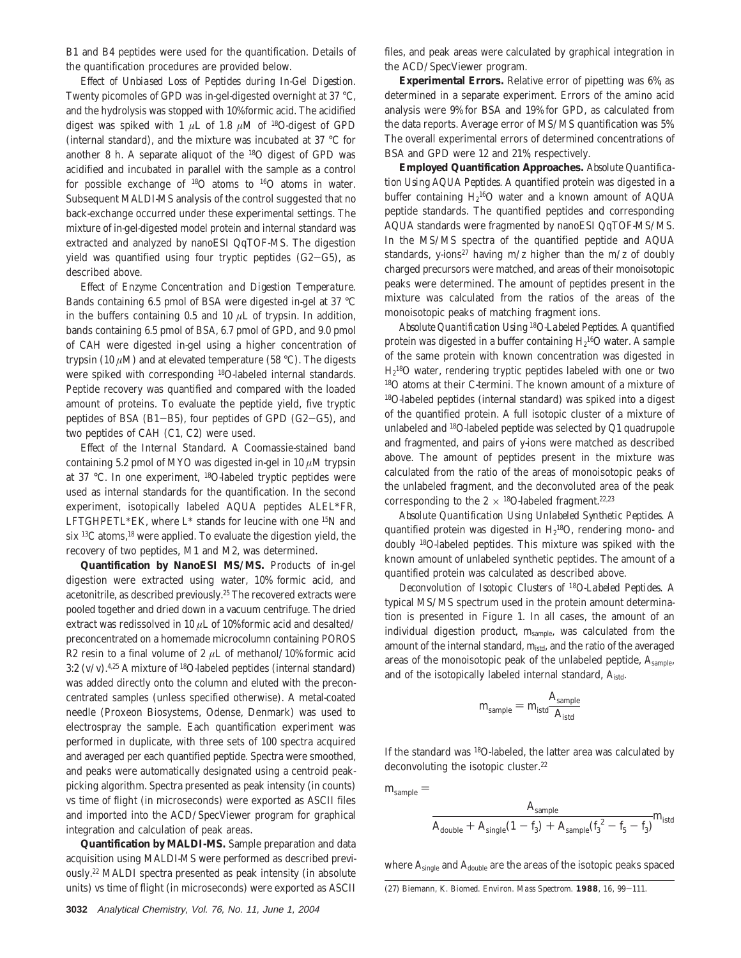B1 and B4 peptides were used for the quantification. Details of the quantification procedures are provided below.

*Effect of Unbiased Loss of Peptides during In-Gel Digestion*. Twenty picomoles of GPD was in-gel-digested overnight at 37 °C, and the hydrolysis was stopped with 10% formic acid. The acidified digest was spiked with 1  $\mu$ L of 1.8  $\mu$ M of <sup>18</sup>O-digest of GPD (internal standard), and the mixture was incubated at 37 °C for another 8 h. A separate aliquot of the 18O digest of GPD was acidified and incubated in parallel with the sample as a control for possible exchange of 18O atoms to 16O atoms in water. Subsequent MALDI-MS analysis of the control suggested that no back-exchange occurred under these experimental settings. The mixture of in-gel-digested model protein and internal standard was extracted and analyzed by nanoESI QqTOF-MS. The digestion yield was quantified using four tryptic peptides (G2-G5), as described above.

*Effect of Enzyme Concentration and Digestion Temperature.* Bands containing 6.5 pmol of BSA were digested in-gel at 37 °C in the buffers containing 0.5 and 10  $\mu$ L of trypsin. In addition, bands containing 6.5 pmol of BSA, 6.7 pmol of GPD, and 9.0 pmol of CAH were digested in-gel using a higher concentration of trypsin (10  $\mu$ M) and at elevated temperature (58 °C). The digests were spiked with corresponding 18O-labeled internal standards. Peptide recovery was quantified and compared with the loaded amount of proteins. To evaluate the peptide yield, five tryptic peptides of BSA (B1-B5), four peptides of GPD (G2-G5), and two peptides of CAH (C1, C2) were used.

*Effect of the Internal Standard.* A Coomassie-stained band containing 5.2 pmol of MYO was digested in-gel in 10 *µ*M trypsin at 37 °C. In one experiment, 18O-labeled tryptic peptides were used as internal standards for the quantification. In the second experiment, isotopically labeled AQUA peptides ALEL\*FR, LFTGHPETL\*EK, where L\* stands for leucine with one 15N and six  $^{13}$ C atoms,  $^{18}$  were applied. To evaluate the digestion yield, the recovery of two peptides, M1 and M2, was determined.

**Quantification by NanoESI MS/MS.** Products of in-gel digestion were extracted using water, 10% formic acid, and acetonitrile, as described previously.<sup>25</sup> The recovered extracts were pooled together and dried down in a vacuum centrifuge. The dried extract was redissolved in 10 *µ*L of 10% formic acid and desalted/ preconcentrated on a homemade microcolumn containing POROS R2 resin to a final volume of 2  $\mu$ L of methanol/10% formic acid 3:2  $(v/v)$ .<sup>4,25</sup> A mixture of <sup>18</sup>O-labeled peptides (internal standard) was added directly onto the column and eluted with the preconcentrated samples (unless specified otherwise). A metal-coated needle (Proxeon Biosystems, Odense, Denmark) was used to electrospray the sample. Each quantification experiment was performed in duplicate, with three sets of 100 spectra acquired and averaged per each quantified peptide. Spectra were smoothed, and peaks were automatically designated using a centroid peakpicking algorithm. Spectra presented as peak intensity (in counts) vs time of flight (in microseconds) were exported as ASCII files and imported into the ACD/SpecViewer program for graphical integration and calculation of peak areas.

**Quantification by MALDI-MS.** Sample preparation and data acquisition using MALDI-MS were performed as described previously.22 MALDI spectra presented as peak intensity (in absolute units) vs time of flight (in microseconds) were exported as ASCII files, and peak areas were calculated by graphical integration in the ACD/SpecViewer program.

**Experimental Errors.** Relative error of pipetting was 6%, as determined in a separate experiment. Errors of the amino acid analysis were 9% for BSA and 19% for GPD, as calculated from the data reports. Average error of MS/MS quantification was 5%. The overall experimental errors of determined concentrations of BSA and GPD were 12 and 21%, respectively.

**Employed Quantification Approaches.** *Absolute Quantification Using AQUA Peptides*. A quantified protein was digested in a buffer containing  $H_2$ <sup>16</sup>O water and a known amount of AQUA peptide standards. The quantified peptides and corresponding AQUA standards were fragmented by nanoESI QqTOF-MS/MS. In the MS/MS spectra of the quantified peptide and AQUA standards, y-ions<sup>27</sup> having  $m/z$  higher than the  $m/z$  of doubly charged precursors were matched, and areas of their monoisotopic peaks were determined. The amount of peptides present in the mixture was calculated from the ratios of the areas of the monoisotopic peaks of matching fragment ions.

*Absolute Quantification Using 18O-Labeled Peptides*. A quantified protein was digested in a buffer containing  $H_2^{16}O$  water. A sample of the same protein with known concentration was digested in H2 18O water, rendering tryptic peptides labeled with one or two 18O atoms at their C-termini. The known amount of a mixture of 18O-labeled peptides (internal standard) was spiked into a digest of the quantified protein. A full isotopic cluster of a mixture of unlabeled and 18O-labeled peptide was selected by Q1 quadrupole and fragmented, and pairs of y-ions were matched as described above. The amount of peptides present in the mixture was calculated from the ratio of the areas of monoisotopic peaks of the unlabeled fragment, and the deconvoluted area of the peak corresponding to the  $2 \times$  <sup>18</sup>O-labeled fragment.<sup>22,23</sup>

*Absolute Quantification Using Unlabeled Synthetic Peptides*. A quantified protein was digested in  $H_2^{18}O$ , rendering mono- and doubly 18O-labeled peptides. This mixture was spiked with the known amount of unlabeled synthetic peptides. The amount of a quantified protein was calculated as described above.

*Deconvolution of Isotopic Clusters of 18O-Labeled Peptides*. A typical MS/MS spectrum used in the protein amount determination is presented in Figure 1. In all cases, the amount of an individual digestion product,  $m_{\text{sample}}$ , was calculated from the amount of the internal standard,  $m_{\text{std}}$ , and the ratio of the averaged areas of the monoisotopic peak of the unlabeled peptide, *A*sample, and of the isotopically labeled internal standard, A<sub>istd</sub>.

$$
m_{\text{sample}} = m_{\text{istd}} \frac{A_{\text{sample}}}{A_{\text{istd}}}
$$

If the standard was 18O-labeled, the latter area was calculated by deconvoluting the isotopic cluster.<sup>22</sup>

$$
m_{\text{sample}} =
$$
\n
$$
A_{\text{sample}}
$$
\n
$$
A_{\text{double}} + A_{\text{single}}(1 - f_3) + A_{\text{sample}}(f_3^2 - f_5 - f_3)^{m_{\text{istd}}}
$$

where *A*single and *A*double are the areas of the isotopic peaks spaced

<sup>(27)</sup> Biemann, K. *Biomed. Environ. Mass Spectrom.* **<sup>1988</sup>**, *<sup>16</sup>*, 99-111.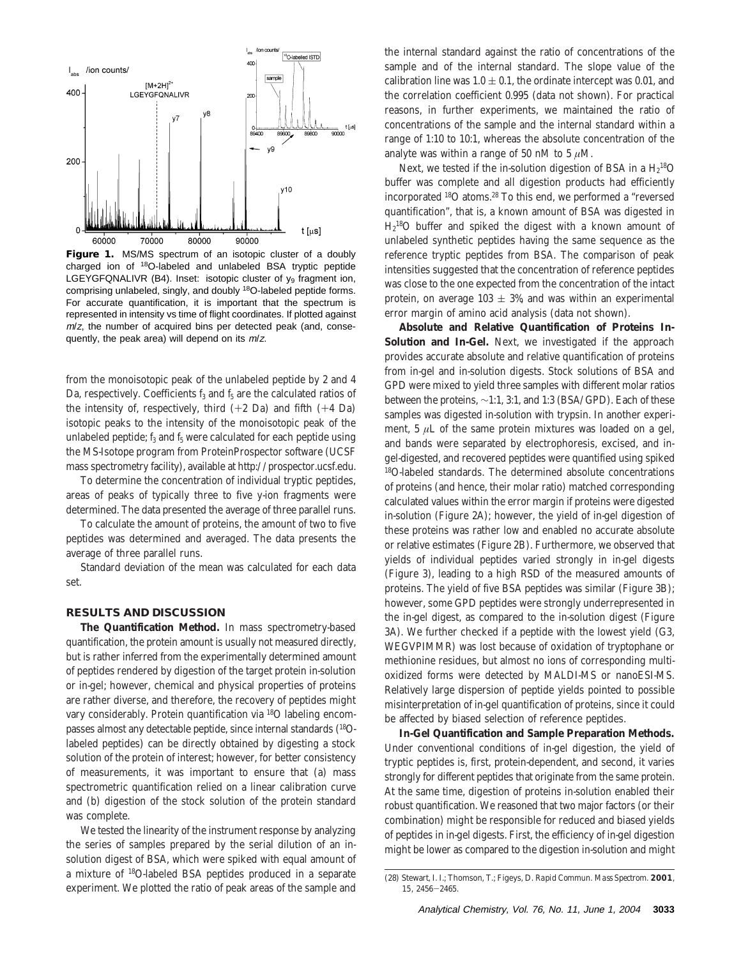

Figure 1. MS/MS spectrum of an isotopic cluster of a doubly charged ion of 18O-labeled and unlabeled BSA tryptic peptide LGEYGFQNALIVR (B4). Inset: isotopic cluster of y<sub>9</sub> fragment ion, comprising unlabeled, singly, and doubly 18O-labeled peptide forms. For accurate quantification, it is important that the spectrum is represented in intensity vs time of flight coordinates. If plotted against  $m/z$ , the number of acquired bins per detected peak (and, consequently, the peak area) will depend on its  $m/z$ .

from the monoisotopic peak of the unlabeled peptide by 2 and 4 Da, respectively. Coefficients  $f_3$  and  $f_5$  are the calculated ratios of the intensity of, respectively, third  $(+2 \text{ Da})$  and fifth  $(+4 \text{ Da})$ isotopic peaks to the intensity of the monoisotopic peak of the unlabeled peptide;  $f_3$  and  $f_5$  were calculated for each peptide using the MS-Isotope program from ProteinProspector software (UCSF mass spectrometry facility), available at http://prospector.ucsf.edu.

To determine the concentration of individual tryptic peptides, areas of peaks of typically three to five y-ion fragments were determined. The data presented the average of three parallel runs.

To calculate the amount of proteins, the amount of two to five peptides was determined and averaged. The data presents the average of three parallel runs.

Standard deviation of the mean was calculated for each data set.

# **RESULTS AND DISCUSSION**

**The Quantification Method.** In mass spectrometry-based quantification, the protein amount is usually not measured directly, but is rather inferred from the experimentally determined amount of peptides rendered by digestion of the target protein in-solution or in-gel; however, chemical and physical properties of proteins are rather diverse, and therefore, the recovery of peptides might vary considerably. Protein quantification via 18O labeling encompasses almost any detectable peptide, since internal standards (18Olabeled peptides) can be directly obtained by digesting a stock solution of the protein of interest; however, for better consistency of measurements, it was important to ensure that (a) mass spectrometric quantification relied on a linear calibration curve and (b) digestion of the stock solution of the protein standard was complete.

We tested the linearity of the instrument response by analyzing the series of samples prepared by the serial dilution of an insolution digest of BSA, which were spiked with equal amount of a mixture of 18O-labeled BSA peptides produced in a separate experiment. We plotted the ratio of peak areas of the sample and

the internal standard against the ratio of concentrations of the sample and of the internal standard. The slope value of the calibration line was  $1.0 \pm 0.1$ , the ordinate intercept was 0.01, and the correlation coefficient 0.995 (data not shown). For practical reasons, in further experiments, we maintained the ratio of concentrations of the sample and the internal standard within a range of 1:10 to 10:1, whereas the absolute concentration of the analyte was within a range of 50 nM to 5 *µ*M.

Next, we tested if the in-solution digestion of BSA in a  $\rm H_2^{18}O$ buffer was complete and all digestion products had efficiently incorporated 18O atoms.28 To this end, we performed a "reversed quantification", that is, a known amount of BSA was digested in H2 18O buffer and spiked the digest with a known amount of unlabeled synthetic peptides having the same sequence as the reference tryptic peptides from BSA. The comparison of peak intensities suggested that the concentration of reference peptides was close to the one expected from the concentration of the intact protein, on average 103  $\pm$  3%, and was within an experimental error margin of amino acid analysis (data not shown).

**Absolute and Relative Quantification of Proteins In-Solution and In-Gel.** Next, we investigated if the approach provides accurate absolute and relative quantification of proteins from in-gel and in-solution digests. Stock solutions of BSA and GPD were mixed to yield three samples with different molar ratios between the proteins, ∼1:1, 3:1, and 1:3 (BSA/GPD). Each of these samples was digested in-solution with trypsin. In another experiment, 5 *µ*L of the same protein mixtures was loaded on a gel, and bands were separated by electrophoresis, excised, and ingel-digested, and recovered peptides were quantified using spiked 18O-labeled standards. The determined absolute concentrations of proteins (and hence, their molar ratio) matched corresponding calculated values within the error margin if proteins were digested in-solution (Figure 2A); however, the yield of in-gel digestion of these proteins was rather low and enabled no accurate absolute or relative estimates (Figure 2B). Furthermore, we observed that yields of individual peptides varied strongly in in-gel digests (Figure 3), leading to a high RSD of the measured amounts of proteins. The yield of five BSA peptides was similar (Figure 3B); however, some GPD peptides were strongly underrepresented in the in-gel digest, as compared to the in-solution digest (Figure 3A). We further checked if a peptide with the lowest yield (G3, WEGVPIMMR) was lost because of oxidation of tryptophane or methionine residues, but almost no ions of corresponding multioxidized forms were detected by MALDI-MS or nanoESI-MS. Relatively large dispersion of peptide yields pointed to possible misinterpretation of in-gel quantification of proteins, since it could be affected by biased selection of reference peptides.

**In-Gel Quantification and Sample Preparation Methods.** Under conventional conditions of in-gel digestion, the yield of tryptic peptides is, first, protein-dependent, and second, it varies strongly for different peptides that originate from the same protein. At the same time, digestion of proteins in-solution enabled their robust quantification. We reasoned that two major factors (or their combination) might be responsible for reduced and biased yields of peptides in in-gel digests. First, the efficiency of in-gel digestion might be lower as compared to the digestion in-solution and might

<sup>(28)</sup> Stewart, I. I.; Thomson, T.; Figeys, D. *Rapid Commun. Mass Spectrom.* **2001**, *<sup>15</sup>*, 2456-2465.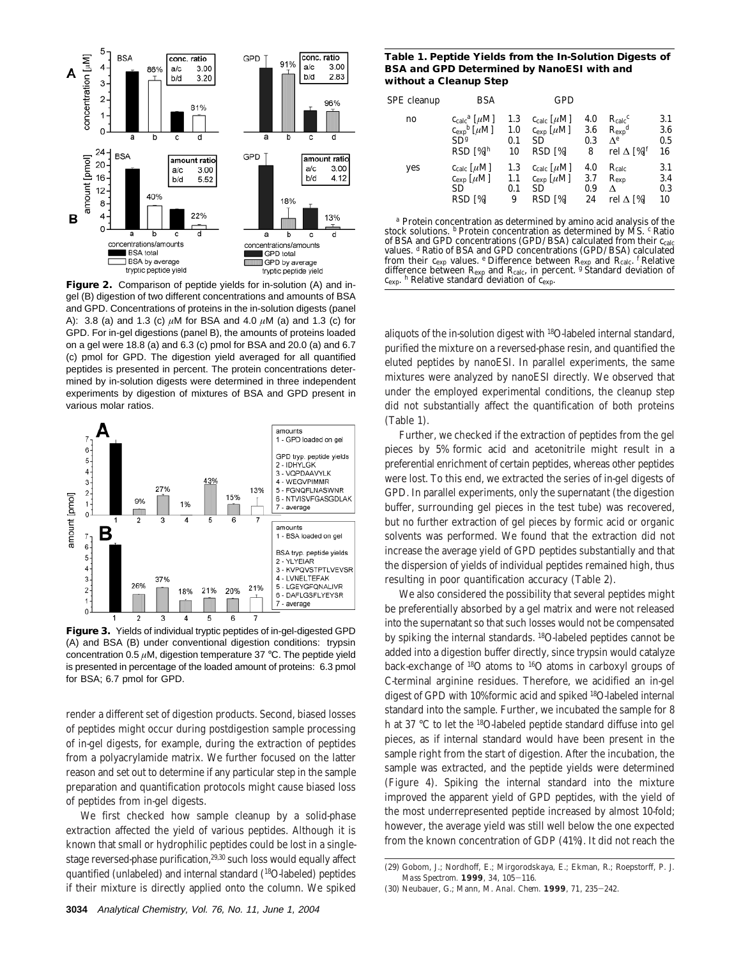

**Figure 2.** Comparison of peptide yields for in-solution (A) and ingel (B) digestion of two different concentrations and amounts of BSA and GPD. Concentrations of proteins in the in-solution digests (panel A): 3.8 (a) and 1.3 (c) *µ*M for BSA and 4.0 *µ*M (a) and 1.3 (c) for GPD. For in-gel digestions (panel B), the amounts of proteins loaded on a gel were 18.8 (a) and 6.3 (c) pmol for BSA and 20.0 (a) and 6.7 (c) pmol for GPD. The digestion yield averaged for all quantified peptides is presented in percent. The protein concentrations determined by in-solution digests were determined in three independent experiments by digestion of mixtures of BSA and GPD present in various molar ratios.



**Figure 3.** Yields of individual tryptic peptides of in-gel-digested GPD (A) and BSA (B) under conventional digestion conditions: trypsin concentration 0.5 *µ*M, digestion temperature 37 °C. The peptide yield is presented in percentage of the loaded amount of proteins: 6.3 pmol for BSA; 6.7 pmol for GPD.

render a different set of digestion products. Second, biased losses of peptides might occur during postdigestion sample processing of in-gel digests, for example, during the extraction of peptides from a polyacrylamide matrix. We further focused on the latter reason and set out to determine if any particular step in the sample preparation and quantification protocols might cause biased loss of peptides from in-gel digests.

We first checked how sample cleanup by a solid-phase extraction affected the yield of various peptides. Although it is known that small or hydrophilic peptides could be lost in a singlestage reversed-phase purification,<sup>29,30</sup> such loss would equally affect quantified (unlabeled) and internal standard (18O-labeled) peptides if their mixture is directly applied onto the column. We spiked

| SPE cleanup | BSA                             |     | GPD                       |     |                               |     |
|-------------|---------------------------------|-----|---------------------------|-----|-------------------------------|-----|
| no          | $c_{\rm calc}^a$ [µM]           | 1.3 | $c_{\rm calc}$ [ $\mu$ M] | 4.0 | $R_{\rm calc}{}^c$            | 3.1 |
|             | $c_{\exp}^b$ [ $\mu$ M]         | 1.0 | $c_{\exp}$ [ $\mu$ M]     | 3.6 | $R_{\rm exp}$ <sup>d</sup>    | 3.6 |
|             | SD <sup>g</sup>                 | 0.1 | SD                        | 0.3 | $\Lambda^e$                   | 0.5 |
|             | RSD $\lceil \frac{M}{h} \rceil$ | 10  | RSD [%]                   | 8   | rel $\Delta$ [%] <sup>f</sup> | 16  |
| yes         | $c_{\rm calc}$ [ $\mu$ M]       | 1.3 | $c_{\rm calc}$ [ $\mu$ M] | 4.0 | $R_{\rm calc}$                | 3.1 |
|             | $c_{\exp}$ [ $\mu$ M]           | 1.1 | $c_{\exp}$ [ $\mu$ M]     | 3.7 | $R_{\rm exp}$                 | 3.4 |
|             | SD                              | 0.1 | SD                        | 0.9 | л                             | 0.3 |
|             | $RSD$ [%]                       | 9   | RSD [%]                   | 24  | rel $\Delta$ [%]              | 10  |

*<sup>a</sup>* Protein concentration as determined by amino acid analysis of the stock solutions. *<sup>b</sup>* Protein concentration as determined by MS. *<sup>c</sup>* Ratio of BSA and GPD concentrations (GPD/BSA) calculated from their *c*calc values. *<sup>d</sup>* Ratio of BSA and GPD concentrations (GPD/BSA) calculated from their  $c_{\exp}$  values. *<sup>e</sup>* Difference between  $R_{\exp}$  and  $R_{\text{calc}}$ . *f* Relative difference between  $R_{\exp}$  and  $R_{\text{calc}}$ , in percent. *<sup>g</sup>* Standard deviation of  $c_{\exp}$ . *h* Relative standard deviation of  $c_{\exp}$ 

aliquots of the in-solution digest with 18O-labeled internal standard, purified the mixture on a reversed-phase resin, and quantified the eluted peptides by nanoESI. In parallel experiments, the same mixtures were analyzed by nanoESI directly. We observed that under the employed experimental conditions, the cleanup step did not substantially affect the quantification of both proteins (Table 1).

Further, we checked if the extraction of peptides from the gel pieces by 5% formic acid and acetonitrile might result in a preferential enrichment of certain peptides, whereas other peptides were lost. To this end, we extracted the series of in-gel digests of GPD. In parallel experiments, only the supernatant (the digestion buffer, surrounding gel pieces in the test tube) was recovered, but no further extraction of gel pieces by formic acid or organic solvents was performed. We found that the extraction did not increase the average yield of GPD peptides substantially and that the dispersion of yields of individual peptides remained high, thus resulting in poor quantification accuracy (Table 2).

We also considered the possibility that several peptides might be preferentially absorbed by a gel matrix and were not released into the supernatant so that such losses would not be compensated by spiking the internal standards. 18O-labeled peptides cannot be added into a digestion buffer directly, since trypsin would catalyze back-exchange of 18O atoms to 16O atoms in carboxyl groups of C-terminal arginine residues. Therefore, we acidified an in-gel digest of GPD with 10% formic acid and spiked 18O-labeled internal standard into the sample. Further, we incubated the sample for 8 h at 37 °C to let the 18O-labeled peptide standard diffuse into gel pieces, as if internal standard would have been present in the sample right from the start of digestion. After the incubation, the sample was extracted, and the peptide yields were determined (Figure 4). Spiking the internal standard into the mixture improved the apparent yield of GPD peptides, with the yield of the most underrepresented peptide increased by almost 10-fold; however, the average yield was still well below the one expected from the known concentration of GDP (41%). It did not reach the

<sup>(29)</sup> Gobom, J.; Nordhoff, E.; Mirgorodskaya, E.; Ekman, R.; Roepstorff, P. *J. Mass Spectrom.* **<sup>1999</sup>**, *<sup>34</sup>*, 105-116.

<sup>(30)</sup> Neubauer, G.; Mann, M. *Anal. Chem.* **<sup>1999</sup>**, *<sup>71</sup>*, 235-242.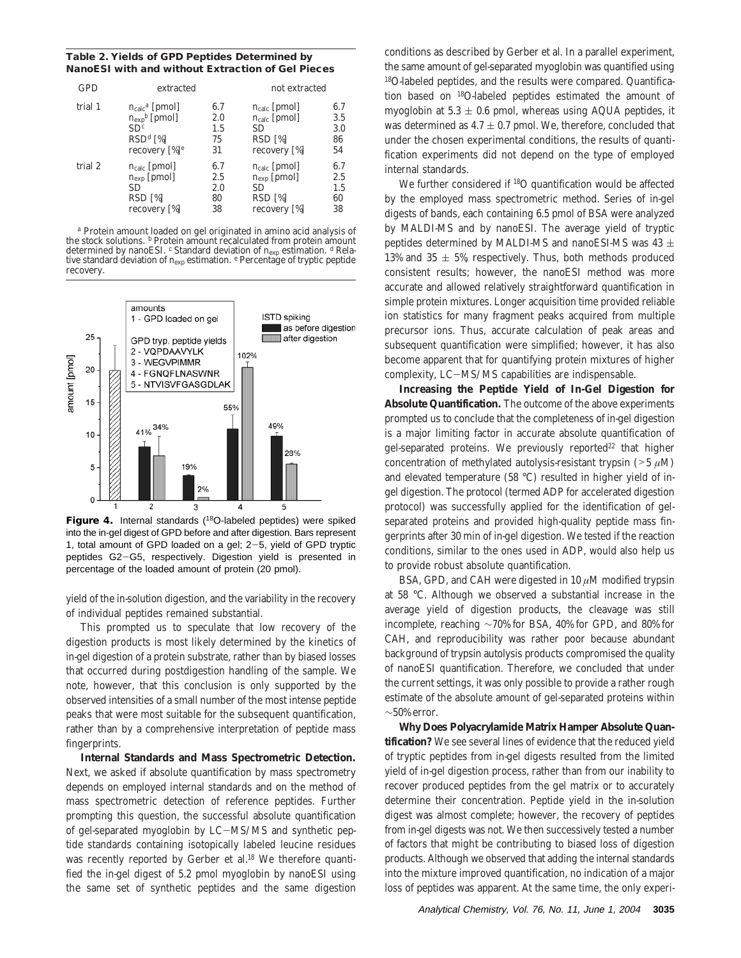#### **Table 2. Yields of GPD Peptides Determined by NanoESI with and without Extraction of Gel Pieces**

| <b>GPD</b> | extracted                          |     | not extracted            |     |
|------------|------------------------------------|-----|--------------------------|-----|
| trial 1    | $n_{\rm calc}$ <sup>a</sup> [pmol] | 6.7 | $n_{\text{calc}}$ [pmol] | 6.7 |
|            | $n_{\exp}$ <sup>b</sup> [pmol]     | 2.0 | $n_{\text{calc}}$ [pmol] | 3.5 |
|            | SD <sup>c</sup>                    | 1.5 | SD                       | 3.0 |
|            | $RSDd$ [%]                         | 75  | $RSD$ [%]                | 86  |
|            | recovery $\lbrack\% \rbrack^e$     | 31  | recovery [%]             | 54  |
| trial 2    | $n_{\text{calc}}$ [pmol]           | 6.7 | $n_{\text{calc}}$ [pmol] | 6.7 |
|            | $n_{\exp}$ [pmol]                  | 2.5 | $n_{\exp}$ [pmol]        | 2.5 |
|            | SD                                 | 2.0 | SD                       | 1.5 |
|            | $RSD$ [%]                          | 80  | $RSD$ [%]                | 60  |
|            | recovery [%]                       | 38  | recovery  %              | 38  |

*<sup>a</sup>* Protein amount loaded on gel originated in amino acid analysis of the stock solutions. *<sup>b</sup>* Protein amount recalculated from protein amount determined by nanoESI. *<sup>c</sup>* Standard deviation of *n*exp estimation. *<sup>d</sup>* Relative standard deviation of  $n_{exp}$  estimation. *e* Percentage of tryptic peptide recovery.



**Figure 4.** Internal standards (18O-labeled peptides) were spiked into the in-gel digest of GPD before and after digestion. Bars represent 1, total amount of GPD loaded on a gel; 2-5, yield of GPD tryptic peptides G2-G5, respectively. Digestion yield is presented in percentage of the loaded amount of protein (20 pmol).

yield of the in-solution digestion, and the variability in the recovery of individual peptides remained substantial.

This prompted us to speculate that low recovery of the digestion products is most likely determined by the kinetics of in-gel digestion of a protein substrate, rather than by biased losses that occurred during postdigestion handling of the sample. We note, however, that this conclusion is only supported by the observed intensities of a small number of the most intense peptide peaks that were most suitable for the subsequent quantification, rather than by a comprehensive interpretation of peptide mass fingerprints.

**Internal Standards and Mass Spectrometric Detection.** Next, we asked if absolute quantification by mass spectrometry depends on employed internal standards and on the method of mass spectrometric detection of reference peptides. Further prompting this question, the successful absolute quantification of gel-separated myoglobin by LC-MS/MS and synthetic peptide standards containing isotopically labeled leucine residues was recently reported by Gerber et al.<sup>18</sup> We therefore quantified the in-gel digest of 5.2 pmol myoglobin by nanoESI using the same set of synthetic peptides and the same digestion conditions as described by Gerber et al. In a parallel experiment, the same amount of gel-separated myoglobin was quantified using 18O-labeled peptides, and the results were compared. Quantification based on 18O-labeled peptides estimated the amount of myoglobin at  $5.3 \pm 0.6$  pmol, whereas using AQUA peptides, it was determined as  $4.7 \pm 0.7$  pmol. We, therefore, concluded that under the chosen experimental conditions, the results of quantification experiments did not depend on the type of employed internal standards.

We further considered if 18O quantification would be affected by the employed mass spectrometric method. Series of in-gel digests of bands, each containing 6.5 pmol of BSA were analyzed by MALDI-MS and by nanoESI. The average yield of tryptic peptides determined by MALDI-MS and nanoESI-MS was 43  $\pm$ 13% and 35  $\pm$  5%, respectively. Thus, both methods produced consistent results; however, the nanoESI method was more accurate and allowed relatively straightforward quantification in simple protein mixtures. Longer acquisition time provided reliable ion statistics for many fragment peaks acquired from multiple precursor ions. Thus, accurate calculation of peak areas and subsequent quantification were simplified; however, it has also become apparent that for quantifying protein mixtures of higher complexity, LC-MS/MS capabilities are indispensable.

**Increasing the Peptide Yield of In-Gel Digestion for Absolute Quantification.** The outcome of the above experiments prompted us to conclude that the completeness of in-gel digestion is a major limiting factor in accurate absolute quantification of gel-separated proteins. We previously reported<sup>22</sup> that higher concentration of methylated autolysis-resistant trypsin (><sup>5</sup> *<sup>µ</sup>*M) and elevated temperature (58 °C) resulted in higher yield of ingel digestion. The protocol (termed ADP for accelerated digestion protocol) was successfully applied for the identification of gelseparated proteins and provided high-quality peptide mass fingerprints after 30 min of in-gel digestion. We tested if the reaction conditions, similar to the ones used in ADP, would also help us to provide robust absolute quantification.

BSA, GPD, and CAH were digested in 10 *µ*M modified trypsin at 58 °C. Although we observed a substantial increase in the average yield of digestion products, the cleavage was still incomplete, reaching ∼70% for BSA, 40% for GPD, and 80% for CAH, and reproducibility was rather poor because abundant background of trypsin autolysis products compromised the quality of nanoESI quantification. Therefore, we concluded that under the current settings, it was only possible to provide a rather rough estimate of the absolute amount of gel-separated proteins within ∼50% error.

**Why Does Polyacrylamide Matrix Hamper Absolute Quantification?** We see several lines of evidence that the reduced yield of tryptic peptides from in-gel digests resulted from the limited yield of in-gel digestion process, rather than from our inability to recover produced peptides from the gel matrix or to accurately determine their concentration. Peptide yield in the in-solution digest was almost complete; however, the recovery of peptides from in-gel digests was not. We then successively tested a number of factors that might be contributing to biased loss of digestion products. Although we observed that adding the internal standards into the mixture improved quantification, no indication of a major loss of peptides was apparent. At the same time, the only experi